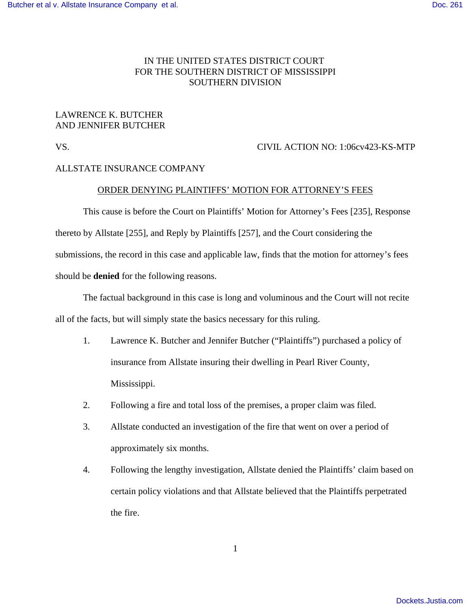# IN THE UNITED STATES DISTRICT COURT FOR THE SOUTHERN DISTRICT OF MISSISSIPPI SOUTHERN DIVISION

# LAWRENCE K. BUTCHER AND JENNIFER BUTCHER

### VS. CIVIL ACTION NO: 1:06cv423-KS-MTP

### ALLSTATE INSURANCE COMPANY

### ORDER DENYING PLAINTIFFS' MOTION FOR ATTORNEY'S FEES

This cause is before the Court on Plaintiffs' Motion for Attorney's Fees [235], Response thereto by Allstate [255], and Reply by Plaintiffs [257], and the Court considering the submissions, the record in this case and applicable law, finds that the motion for attorney's fees should be **denied** for the following reasons.

The factual background in this case is long and voluminous and the Court will not recite all of the facts, but will simply state the basics necessary for this ruling.

- 1. Lawrence K. Butcher and Jennifer Butcher ("Plaintiffs") purchased a policy of insurance from Allstate insuring their dwelling in Pearl River County, Mississippi.
- 2. Following a fire and total loss of the premises, a proper claim was filed.
- 3. Allstate conducted an investigation of the fire that went on over a period of approximately six months.
- 4. Following the lengthy investigation, Allstate denied the Plaintiffs' claim based on certain policy violations and that Allstate believed that the Plaintiffs perpetrated the fire.

1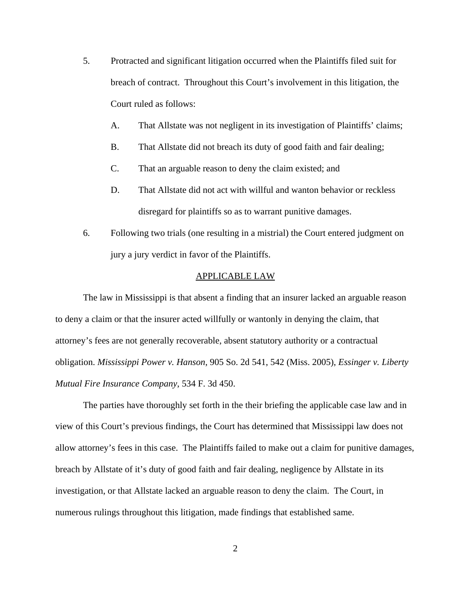- 5. Protracted and significant litigation occurred when the Plaintiffs filed suit for breach of contract. Throughout this Court's involvement in this litigation, the Court ruled as follows:
	- A. That Allstate was not negligent in its investigation of Plaintiffs' claims;
	- B. That Allstate did not breach its duty of good faith and fair dealing;
	- C. That an arguable reason to deny the claim existed; and
	- D. That Allstate did not act with willful and wanton behavior or reckless disregard for plaintiffs so as to warrant punitive damages.
- 6. Following two trials (one resulting in a mistrial) the Court entered judgment on jury a jury verdict in favor of the Plaintiffs.

#### APPLICABLE LAW

The law in Mississippi is that absent a finding that an insurer lacked an arguable reason to deny a claim or that the insurer acted willfully or wantonly in denying the claim, that attorney's fees are not generally recoverable, absent statutory authority or a contractual obligation. *Mississippi Power v. Hanson*, 905 So. 2d 541, 542 (Miss. 2005), *Essinger v. Liberty Mutual Fire Insurance Company*, 534 F. 3d 450.

The parties have thoroughly set forth in the their briefing the applicable case law and in view of this Court's previous findings, the Court has determined that Mississippi law does not allow attorney's fees in this case. The Plaintiffs failed to make out a claim for punitive damages, breach by Allstate of it's duty of good faith and fair dealing, negligence by Allstate in its investigation, or that Allstate lacked an arguable reason to deny the claim. The Court, in numerous rulings throughout this litigation, made findings that established same.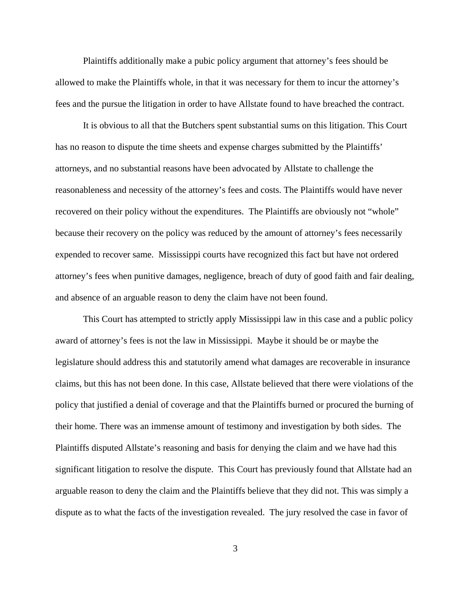Plaintiffs additionally make a pubic policy argument that attorney's fees should be allowed to make the Plaintiffs whole, in that it was necessary for them to incur the attorney's fees and the pursue the litigation in order to have Allstate found to have breached the contract.

It is obvious to all that the Butchers spent substantial sums on this litigation. This Court has no reason to dispute the time sheets and expense charges submitted by the Plaintiffs' attorneys, and no substantial reasons have been advocated by Allstate to challenge the reasonableness and necessity of the attorney's fees and costs. The Plaintiffs would have never recovered on their policy without the expenditures. The Plaintiffs are obviously not "whole" because their recovery on the policy was reduced by the amount of attorney's fees necessarily expended to recover same. Mississippi courts have recognized this fact but have not ordered attorney's fees when punitive damages, negligence, breach of duty of good faith and fair dealing, and absence of an arguable reason to deny the claim have not been found.

This Court has attempted to strictly apply Mississippi law in this case and a public policy award of attorney's fees is not the law in Mississippi. Maybe it should be or maybe the legislature should address this and statutorily amend what damages are recoverable in insurance claims, but this has not been done. In this case, Allstate believed that there were violations of the policy that justified a denial of coverage and that the Plaintiffs burned or procured the burning of their home. There was an immense amount of testimony and investigation by both sides. The Plaintiffs disputed Allstate's reasoning and basis for denying the claim and we have had this significant litigation to resolve the dispute. This Court has previously found that Allstate had an arguable reason to deny the claim and the Plaintiffs believe that they did not. This was simply a dispute as to what the facts of the investigation revealed. The jury resolved the case in favor of